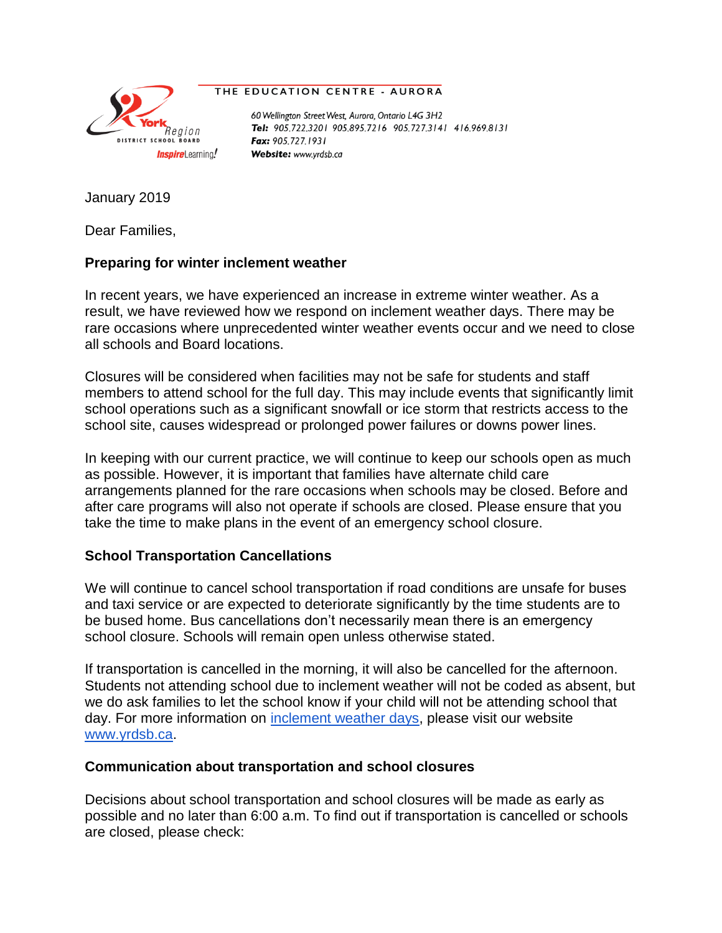

## THE EDUCATION CENTRE - AURORA

60 Wellington Street West, Aurora, Ontario L4G 3H2 Tel: 905.722.3201 905.895.7216 905.727.3141 416.969.8131 Fax: 905.727.1931 Website: www.yrdsb.ca

January 2019

Dear Families,

## **Preparing for winter inclement weather**

In recent years, we have experienced an increase in extreme winter weather. As a result, we have reviewed how we respond on inclement weather days. There may be rare occasions where unprecedented winter weather events occur and we need to close all schools and Board locations.

Closures will be considered when facilities may not be safe for students and staff members to attend school for the full day. This may include events that significantly limit school operations such as a significant snowfall or ice storm that restricts access to the school site, causes widespread or prolonged power failures or downs power lines.

In keeping with our current practice, we will continue to keep our schools open as much as possible. However, it is important that families have alternate child care arrangements planned for the rare occasions when schools may be closed. Before and after care programs will also not operate if schools are closed. Please ensure that you take the time to make plans in the event of an emergency school closure.

## **School Transportation Cancellations**

We will continue to cancel school transportation if road conditions are unsafe for buses and taxi service or are expected to deteriorate significantly by the time students are to be bused home. Bus cancellations don't necessarily mean there is an emergency school closure. Schools will remain open unless otherwise stated.

If transportation is cancelled in the morning, it will also be cancelled for the afternoon. Students not attending school due to inclement weather will not be coded as absent, but we do ask families to let the school know if your child will not be attending school that day. For more information on [inclement weather days,](http://www.yrdsb.ca/Programs/Healthy/Pages/Extreme-Weather-Conditions.aspx) please visit our website [www.yrdsb.ca.](http://www.yrdsb.ca/)

## **Communication about transportation and school closures**

Decisions about school transportation and school closures will be made as early as possible and no later than 6:00 a.m. To find out if transportation is cancelled or schools are closed, please check: